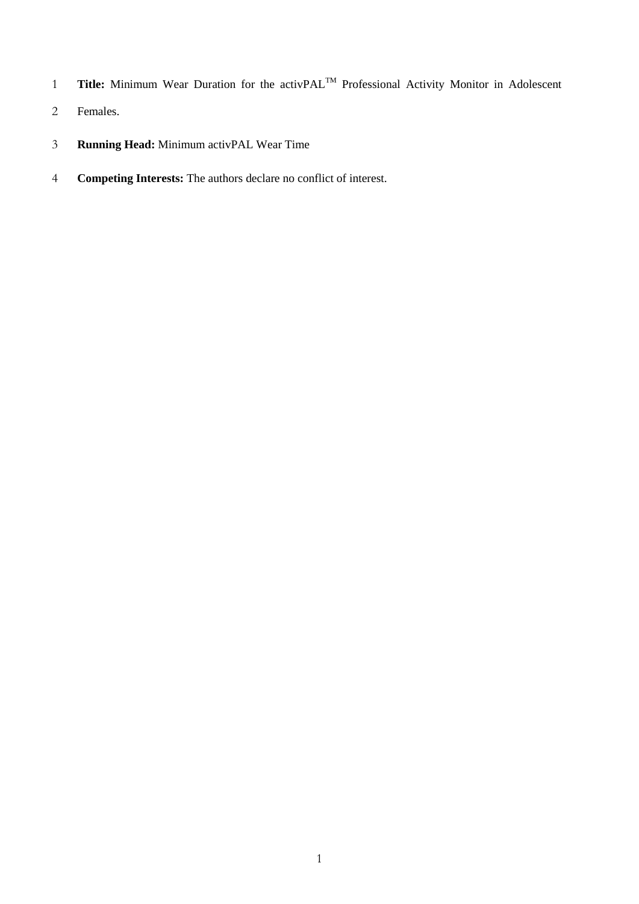- 1 Title: Minimum Wear Duration for the activPAL<sup>™</sup> Professional Activity Monitor in Adolescent
- Females.
- **Running Head:** Minimum activPAL Wear Time
- **Competing Interests:** The authors declare no conflict of interest.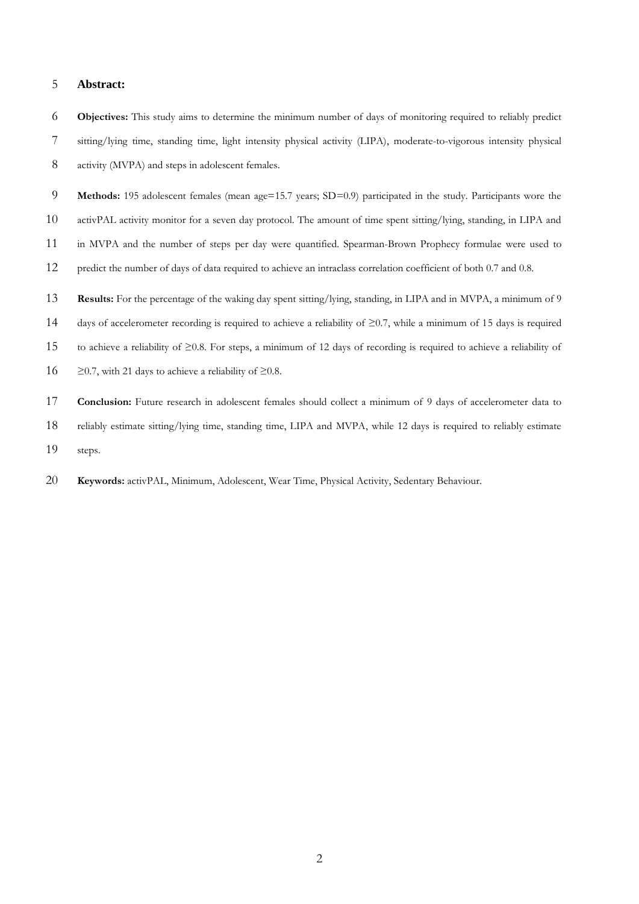### **Abstract:**

 **Objectives:** This study aims to determine the minimum number of days of monitoring required to reliably predict sitting/lying time, standing time, light intensity physical activity (LIPA), moderate-to-vigorous intensity physical activity (MVPA) and steps in adolescent females.

 **Methods:** 195 adolescent females (mean age=15.7 years; SD=0.9) participated in the study. Participants wore the activPAL activity monitor for a seven day protocol. The amount of time spent sitting/lying, standing, in LIPA and in MVPA and the number of steps per day were quantified. Spearman-Brown Prophecy formulae were used to predict the number of days of data required to achieve an intraclass correlation coefficient of both 0.7 and 0.8.

 **Results:** For the percentage of the waking day spent sitting/lying, standing, in LIPA and in MVPA, a minimum of 9 days of accelerometer recording is required to achieve a reliability of ≥0.7, while a minimum of 15 days is required to achieve a reliability of ≥0.8. For steps, a minimum of 12 days of recording is required to achieve a reliability of  $\geq$  20.7, with 21 days to achieve a reliability of  $\geq$  0.8.

**Conclusion:** Future research in adolescent females should collect a minimum of 9 days of accelerometer data to reliably estimate sitting/lying time, standing time, LIPA and MVPA, while 12 days is required to reliably estimate steps.

**Keywords:** activPAL, Minimum, Adolescent, Wear Time, Physical Activity, Sedentary Behaviour.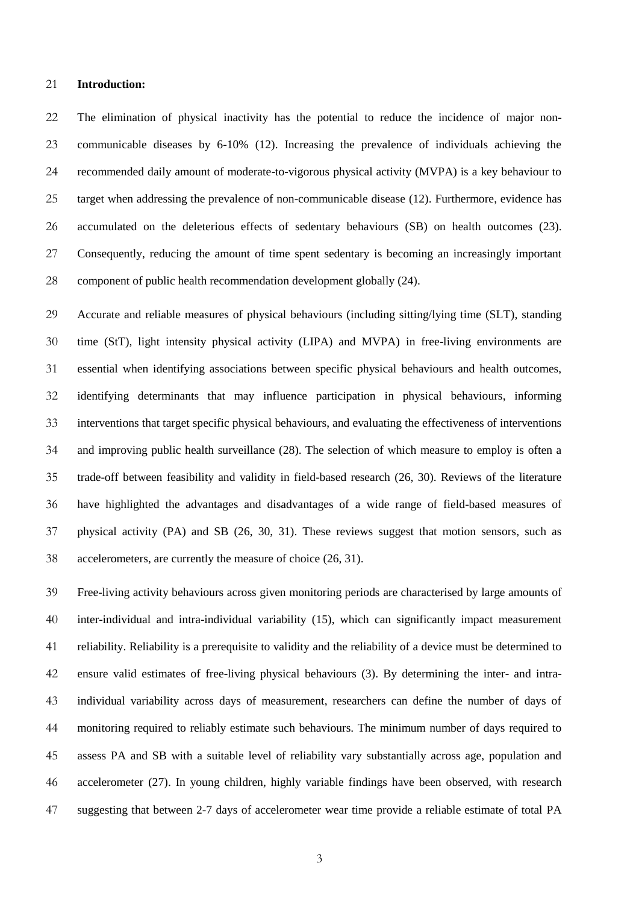#### **Introduction:**

 The elimination of physical inactivity has the potential to reduce the incidence of major non- communicable diseases by 6-10% [\(12\)](#page-17-0). Increasing the prevalence of individuals achieving the recommended daily amount of moderate-to-vigorous physical activity (MVPA) is a key behaviour to target when addressing the prevalence of non-communicable disease [\(12\)](#page-17-0). Furthermore, evidence has accumulated on the deleterious effects of sedentary behaviours (SB) on health outcomes [\(23\)](#page-18-0). Consequently, reducing the amount of time spent sedentary is becoming an increasingly important component of public health recommendation development globally [\(24\)](#page-18-1).

 Accurate and reliable measures of physical behaviours (including sitting/lying time (SLT), standing time (StT), light intensity physical activity (LIPA) and MVPA) in free-living environments are essential when identifying associations between specific physical behaviours and health outcomes, identifying determinants that may influence participation in physical behaviours, informing interventions that target specific physical behaviours, and evaluating the effectiveness of interventions and improving public health surveillance [\(28\)](#page-18-2). The selection of which measure to employ is often a trade-off between feasibility and validity in field-based research [\(26,](#page-18-3) [30\)](#page-18-4). Reviews of the literature have highlighted the advantages and disadvantages of a wide range of field-based measures of physical activity (PA) and SB [\(26,](#page-18-3) [30,](#page-18-4) [31\)](#page-19-0). These reviews suggest that motion sensors, such as accelerometers, are currently the measure of choice [\(26,](#page-18-3) [31\)](#page-19-0).

 Free-living activity behaviours across given monitoring periods are characterised by large amounts of inter-individual and intra-individual variability [\(15\)](#page-17-1), which can significantly impact measurement reliability. Reliability is a prerequisite to validity and the reliability of a device must be determined to ensure valid estimates of free-living physical behaviours [\(3\)](#page-16-0). By determining the inter- and intra- individual variability across days of measurement, researchers can define the number of days of monitoring required to reliably estimate such behaviours. The minimum number of days required to assess PA and SB with a suitable level of reliability vary substantially across age, population and accelerometer [\(27\)](#page-18-5). In young children, highly variable findings have been observed, with research suggesting that between 2-7 days of accelerometer wear time provide a reliable estimate of total PA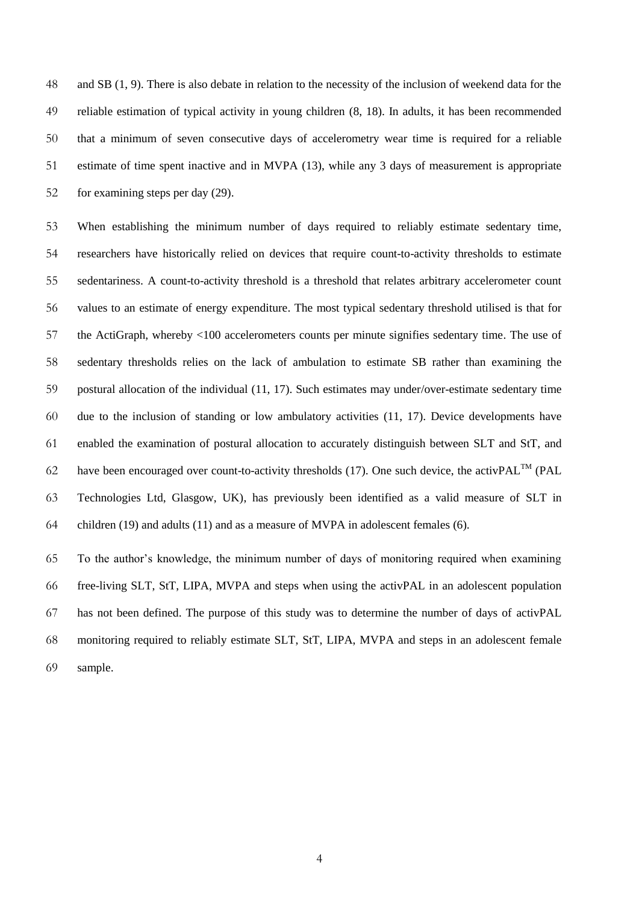and SB [\(1,](#page-16-1) [9\)](#page-16-2). There is also debate in relation to the necessity of the inclusion of weekend data for the reliable estimation of typical activity in young children [\(8,](#page-16-3) [18\)](#page-17-2). In adults, it has been recommended that a minimum of seven consecutive days of accelerometry wear time is required for a reliable estimate of time spent inactive and in MVPA [\(13\)](#page-17-3), while any 3 days of measurement is appropriate for examining steps per day [\(29\)](#page-18-6).

 When establishing the minimum number of days required to reliably estimate sedentary time, researchers have historically relied on devices that require count-to-activity thresholds to estimate sedentariness. A count-to-activity threshold is a threshold that relates arbitrary accelerometer count values to an estimate of energy expenditure. The most typical sedentary threshold utilised is that for the ActiGraph, whereby <100 accelerometers counts per minute signifies sedentary time. The use of sedentary thresholds relies on the lack of ambulation to estimate SB rather than examining the postural allocation of the individual [\(11,](#page-17-4) [17\)](#page-17-5). Such estimates may under/over-estimate sedentary time due to the inclusion of standing or low ambulatory activities [\(11,](#page-17-4) [17\)](#page-17-5). Device developments have enabled the examination of postural allocation to accurately distinguish between SLT and StT, and 62 have been encouraged over count-to-activity thresholds [\(17\)](#page-17-5). One such device, the activPAL<sup>TM</sup> (PAL Technologies Ltd, Glasgow, UK), has previously been identified as a valid measure of SLT in children [\(19\)](#page-17-6) and adults [\(11\)](#page-17-4) and as a measure of MVPA in adolescent females [\(6\)](#page-16-4).

 To the author's knowledge, the minimum number of days of monitoring required when examining free-living SLT, StT, LIPA, MVPA and steps when using the activPAL in an adolescent population has not been defined. The purpose of this study was to determine the number of days of activPAL monitoring required to reliably estimate SLT, StT, LIPA, MVPA and steps in an adolescent female sample.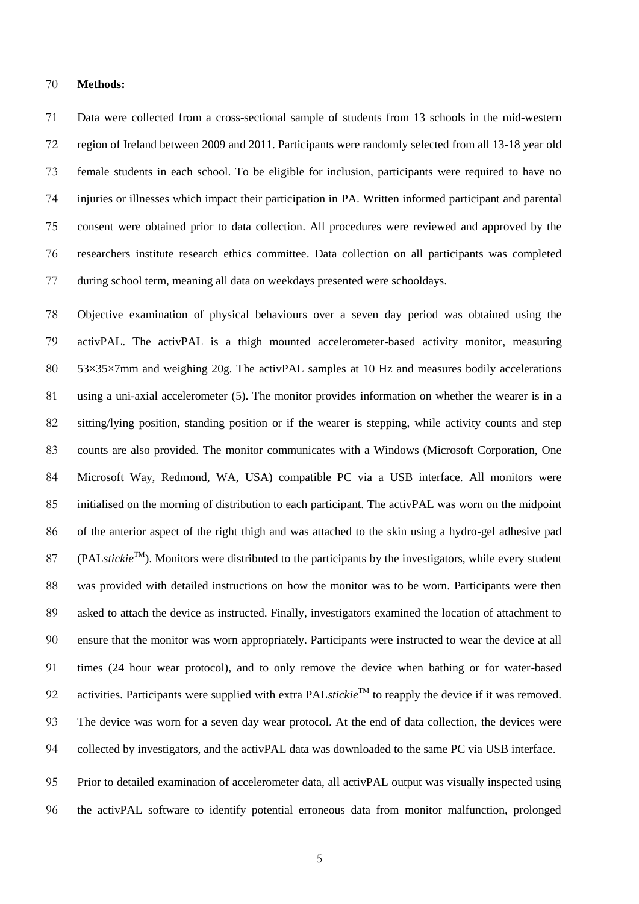#### **Methods:**

 Data were collected from a cross-sectional sample of students from 13 schools in the mid-western region of Ireland between 2009 and 2011. Participants were randomly selected from all 13-18 year old female students in each school. To be eligible for inclusion, participants were required to have no injuries or illnesses which impact their participation in PA. Written informed participant and parental consent were obtained prior to data collection. All procedures were reviewed and approved by the researchers institute research ethics committee. Data collection on all participants was completed during school term, meaning all data on weekdays presented were schooldays.

 Objective examination of physical behaviours over a seven day period was obtained using the activPAL. The activPAL is a thigh mounted accelerometer-based activity monitor, measuring 80 53×35×7mm and weighing 20g. The activPAL samples at 10 Hz and measures bodily accelerations using a uni-axial accelerometer [\(5\)](#page-16-5). The monitor provides information on whether the wearer is in a sitting/lying position, standing position or if the wearer is stepping, while activity counts and step counts are also provided. The monitor communicates with a Windows (Microsoft Corporation, One Microsoft Way, Redmond, WA, USA) compatible PC via a USB interface. All monitors were initialised on the morning of distribution to each participant. The activPAL was worn on the midpoint of the anterior aspect of the right thigh and was attached to the skin using a hydro-gel adhesive pad  $(PAL<sub>stickie</sub><sup>TM</sup>)$ . Monitors were distributed to the participants by the investigators, while every student was provided with detailed instructions on how the monitor was to be worn. Participants were then asked to attach the device as instructed. Finally, investigators examined the location of attachment to ensure that the monitor was worn appropriately. Participants were instructed to wear the device at all times (24 hour wear protocol), and to only remove the device when bathing or for water-based 92 activities. Participants were supplied with extra PAL*stickie*<sup>TM</sup> to reapply the device if it was removed. The device was worn for a seven day wear protocol. At the end of data collection, the devices were collected by investigators, and the activPAL data was downloaded to the same PC via USB interface.

 Prior to detailed examination of accelerometer data, all activPAL output was visually inspected using the activPAL software to identify potential erroneous data from monitor malfunction, prolonged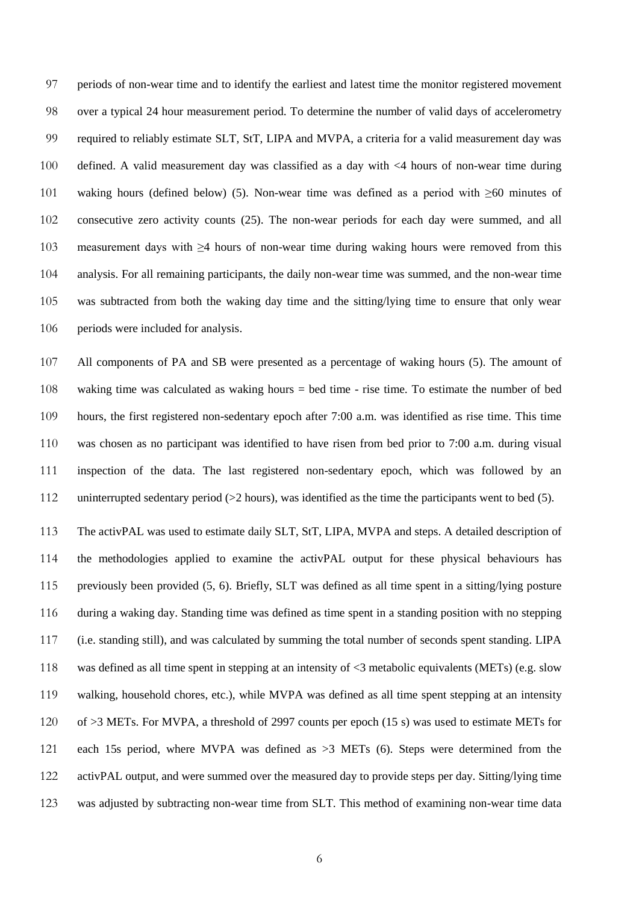periods of non-wear time and to identify the earliest and latest time the monitor registered movement over a typical 24 hour measurement period. To determine the number of valid days of accelerometry required to reliably estimate SLT, StT, LIPA and MVPA, a criteria for a valid measurement day was defined. A valid measurement day was classified as a day with <4 hours of non-wear time during waking hours (defined below) [\(5\)](#page-16-5). Non-wear time was defined as a period with ≥60 minutes of consecutive zero activity counts [\(25\)](#page-18-7). The non-wear periods for each day were summed, and all measurement days with ≥4 hours of non-wear time during waking hours were removed from this analysis. For all remaining participants, the daily non-wear time was summed, and the non-wear time was subtracted from both the waking day time and the sitting/lying time to ensure that only wear 106 periods were included for analysis.

 All components of PA and SB were presented as a percentage of waking hours [\(5\)](#page-16-5). The amount of waking time was calculated as waking hours = bed time - rise time. To estimate the number of bed hours, the first registered non-sedentary epoch after 7:00 a.m. was identified as rise time. This time was chosen as no participant was identified to have risen from bed prior to 7:00 a.m. during visual inspection of the data. The last registered non-sedentary epoch, which was followed by an 112 uninterrupted sedentary period (>2 hours), was identified as the time the participants went to bed [\(5\)](#page-16-5).

 The activPAL was used to estimate daily SLT, StT, LIPA, MVPA and steps. A detailed description of the methodologies applied to examine the activPAL output for these physical behaviours has previously been provided [\(5,](#page-16-5) [6\)](#page-16-4). Briefly, SLT was defined as all time spent in a sitting/lying posture during a waking day. Standing time was defined as time spent in a standing position with no stepping (i.e. standing still), and was calculated by summing the total number of seconds spent standing. LIPA was defined as all time spent in stepping at an intensity of <3 metabolic equivalents (METs) (e.g. slow walking, household chores, etc.), while MVPA was defined as all time spent stepping at an intensity of >3 METs. For MVPA, a threshold of 2997 counts per epoch (15 s) was used to estimate METs for each 15s period, where MVPA was defined as >3 METs [\(6\)](#page-16-4). Steps were determined from the activPAL output, and were summed over the measured day to provide steps per day. Sitting/lying time was adjusted by subtracting non-wear time from SLT. This method of examining non-wear time data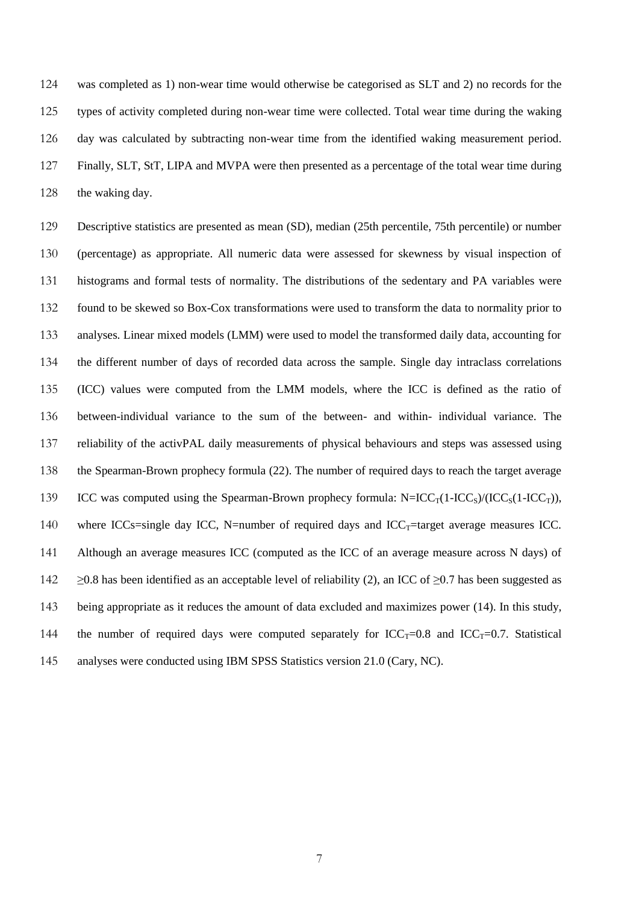was completed as 1) non-wear time would otherwise be categorised as SLT and 2) no records for the types of activity completed during non-wear time were collected. Total wear time during the waking day was calculated by subtracting non-wear time from the identified waking measurement period. Finally, SLT, StT, LIPA and MVPA were then presented as a percentage of the total wear time during 128 the waking day.

 Descriptive statistics are presented as mean (SD), median (25th percentile, 75th percentile) or number (percentage) as appropriate. All numeric data were assessed for skewness by visual inspection of histograms and formal tests of normality. The distributions of the sedentary and PA variables were found to be skewed so Box-Cox transformations were used to transform the data to normality prior to analyses. Linear mixed models (LMM) were used to model the transformed daily data, accounting for the different number of days of recorded data across the sample. Single day intraclass correlations (ICC) values were computed from the LMM models, where the ICC is defined as the ratio of between-individual variance to the sum of the between- and within- individual variance. The reliability of the activPAL daily measurements of physical behaviours and steps was assessed using the Spearman-Brown prophecy formula [\(22\)](#page-18-8). The number of required days to reach the target average 139 ICC was computed using the Spearman-Brown prophecy formula:  $N=ICC_T(1-ICC_S)/(ICC_S(1-ICC_T))$ , 140 where ICCs=single day ICC, N=number of required days and  $ICC_T$ =target average measures ICC. Although an average measures ICC (computed as the ICC of an average measure across N days) of  $\geq$  20.8 has been identified as an acceptable level of reliability [\(2\)](#page-16-6), an ICC of  $\geq$  0.7 has been suggested as being appropriate as it reduces the amount of data excluded and maximizes power [\(14\)](#page-17-7). In this study, 144 the number of required days were computed separately for  $ICC_T=0.8$  and  $ICC_T=0.7$ . Statistical analyses were conducted using IBM SPSS Statistics version 21.0 (Cary, NC).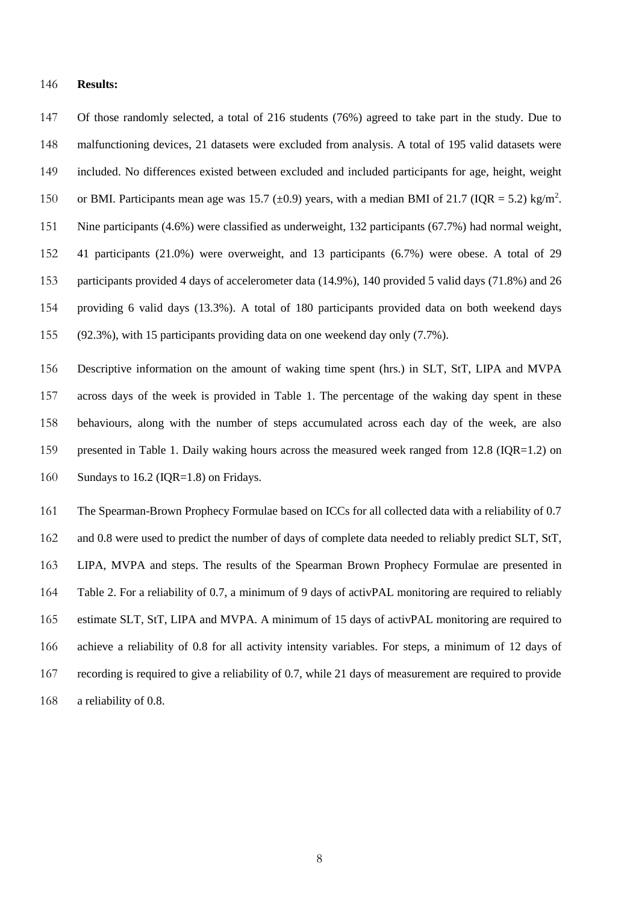#### **Results:**

 Of those randomly selected, a total of 216 students (76%) agreed to take part in the study. Due to malfunctioning devices, 21 datasets were excluded from analysis. A total of 195 valid datasets were included. No differences existed between excluded and included participants for age, height, weight 150 or BMI. Participants mean age was 15.7 ( $\pm$ 0.9) years, with a median BMI of 21.7 (IQR = 5.2) kg/m<sup>2</sup>. Nine participants (4.6%) were classified as underweight, 132 participants (67.7%) had normal weight, 41 participants (21.0%) were overweight, and 13 participants (6.7%) were obese. A total of 29 participants provided 4 days of accelerometer data (14.9%), 140 provided 5 valid days (71.8%) and 26 providing 6 valid days (13.3%). A total of 180 participants provided data on both weekend days (92.3%), with 15 participants providing data on one weekend day only (7.7%).

 Descriptive information on the amount of waking time spent (hrs.) in SLT, StT, LIPA and MVPA across days of the week is provided in Table 1. The percentage of the waking day spent in these behaviours, along with the number of steps accumulated across each day of the week, are also presented in Table 1. Daily waking hours across the measured week ranged from 12.8 (IQR=1.2) on 160 Sundays to 16.2 (IQR=1.8) on Fridays.

 The Spearman-Brown Prophecy Formulae based on ICCs for all collected data with a reliability of 0.7 162 and 0.8 were used to predict the number of days of complete data needed to reliably predict SLT, StT, LIPA, MVPA and steps. The results of the Spearman Brown Prophecy Formulae are presented in Table 2. For a reliability of 0.7, a minimum of 9 days of activPAL monitoring are required to reliably estimate SLT, StT, LIPA and MVPA. A minimum of 15 days of activPAL monitoring are required to achieve a reliability of 0.8 for all activity intensity variables. For steps, a minimum of 12 days of recording is required to give a reliability of 0.7, while 21 days of measurement are required to provide a reliability of 0.8.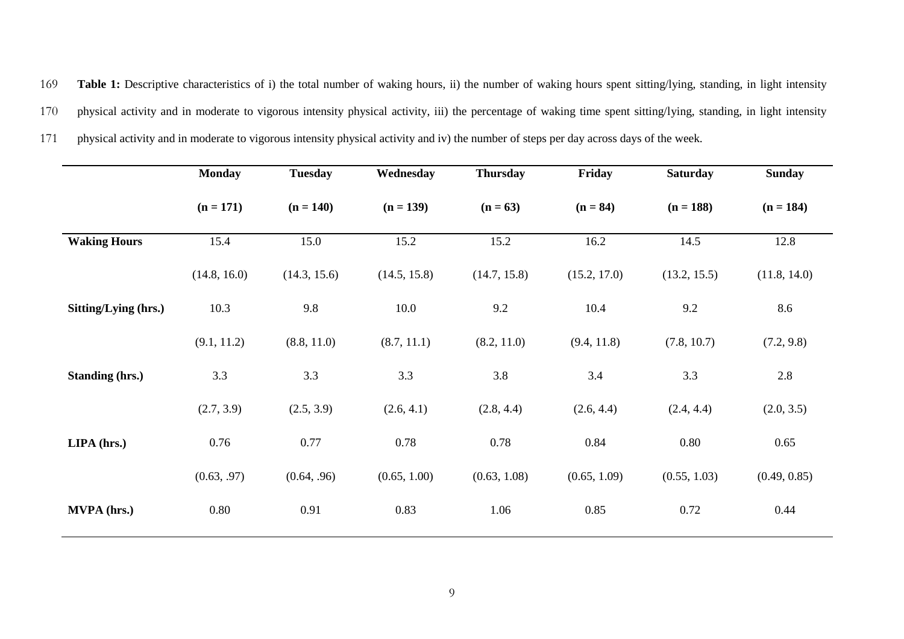169 **Table 1:** Descriptive characteristics of i) the total number of waking hours, ii) the number of waking hours spent sitting/lying, standing, in light intensity 170 physical activity and in moderate to vigorous intensity physical activity, iii) the percentage of waking time spent sitting/lying, standing, in light intensity 171 physical activity and in moderate to vigorous intensity physical activity and iv) the number of steps per day across days of the week.

|                        | <b>Monday</b> | <b>Tuesday</b> | Wednesday    | <b>Thursday</b> | Friday       | <b>Saturday</b> | <b>Sunday</b> |
|------------------------|---------------|----------------|--------------|-----------------|--------------|-----------------|---------------|
|                        | $(n = 171)$   | $(n = 140)$    | $(n = 139)$  | $(n = 63)$      | $(n = 84)$   | $(n = 188)$     | $(n = 184)$   |
| <b>Waking Hours</b>    | 15.4          | 15.0           | 15.2         | 15.2            | 16.2         | 14.5            | 12.8          |
|                        | (14.8, 16.0)  | (14.3, 15.6)   | (14.5, 15.8) | (14.7, 15.8)    | (15.2, 17.0) | (13.2, 15.5)    | (11.8, 14.0)  |
| Sitting/Lying (hrs.)   | 10.3          | 9.8            | 10.0         | 9.2             | 10.4         | 9.2             | 8.6           |
|                        | (9.1, 11.2)   | (8.8, 11.0)    | (8.7, 11.1)  | (8.2, 11.0)     | (9.4, 11.8)  | (7.8, 10.7)     | (7.2, 9.8)    |
| <b>Standing (hrs.)</b> | 3.3           | 3.3            | 3.3          | 3.8             | 3.4          | 3.3             | 2.8           |
|                        | (2.7, 3.9)    | (2.5, 3.9)     | (2.6, 4.1)   | (2.8, 4.4)      | (2.6, 4.4)   | (2.4, 4.4)      | (2.0, 3.5)    |
| $LIPA$ (hrs.)          | 0.76          | 0.77           | 0.78         | 0.78            | 0.84         | 0.80            | 0.65          |
|                        | (0.63, .97)   | (0.64, .96)    | (0.65, 1.00) | (0.63, 1.08)    | (0.65, 1.09) | (0.55, 1.03)    | (0.49, 0.85)  |
| MVPA (hrs.)            | 0.80          | 0.91           | 0.83         | 1.06            | 0.85         | 0.72            | 0.44          |
|                        |               |                |              |                 |              |                 |               |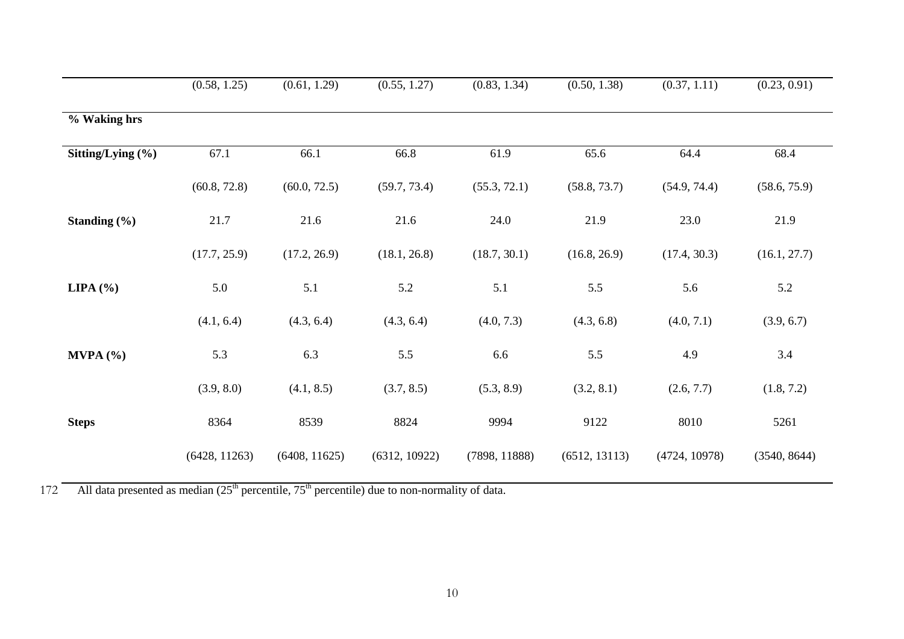|                   | (0.58, 1.25)  | (0.61, 1.29)  | (0.55, 1.27)  | (0.83, 1.34)  | (0.50, 1.38)  | (0.37, 1.11)  | (0.23, 0.91) |
|-------------------|---------------|---------------|---------------|---------------|---------------|---------------|--------------|
| % Waking hrs      |               |               |               |               |               |               |              |
| Sitting/Lying (%) | 67.1          | 66.1          | 66.8          | 61.9          | 65.6          | 64.4          | 68.4         |
|                   | (60.8, 72.8)  | (60.0, 72.5)  | (59.7, 73.4)  | (55.3, 72.1)  | (58.8, 73.7)  | (54.9, 74.4)  | (58.6, 75.9) |
| Standing $(\% )$  | 21.7          | 21.6          | 21.6          | 24.0          | 21.9          | 23.0          | 21.9         |
|                   | (17.7, 25.9)  | (17.2, 26.9)  | (18.1, 26.8)  | (18.7, 30.1)  | (16.8, 26.9)  | (17.4, 30.3)  | (16.1, 27.7) |
| LIPA $(%)$        | 5.0           | 5.1           | 5.2           | 5.1           | 5.5           | 5.6           | 5.2          |
|                   | (4.1, 6.4)    | (4.3, 6.4)    | (4.3, 6.4)    | (4.0, 7.3)    | (4.3, 6.8)    | (4.0, 7.1)    | (3.9, 6.7)   |
| M VPA (%)         | 5.3           | 6.3           | 5.5           | 6.6           | 5.5           | 4.9           | 3.4          |
|                   | (3.9, 8.0)    | (4.1, 8.5)    | (3.7, 8.5)    | (5.3, 8.9)    | (3.2, 8.1)    | (2.6, 7.7)    | (1.8, 7.2)   |
| <b>Steps</b>      | 8364          | 8539          | 8824          | 9994          | 9122          | 8010          | 5261         |
|                   | (6428, 11263) | (6408, 11625) | (6312, 10922) | (7898, 11888) | (6512, 13113) | (4724, 10978) | (3540, 8644) |

 $172$  All data presented as median  $(25<sup>th</sup>$  percentile,  $75<sup>th</sup>$  percentile) due to non-normality of data.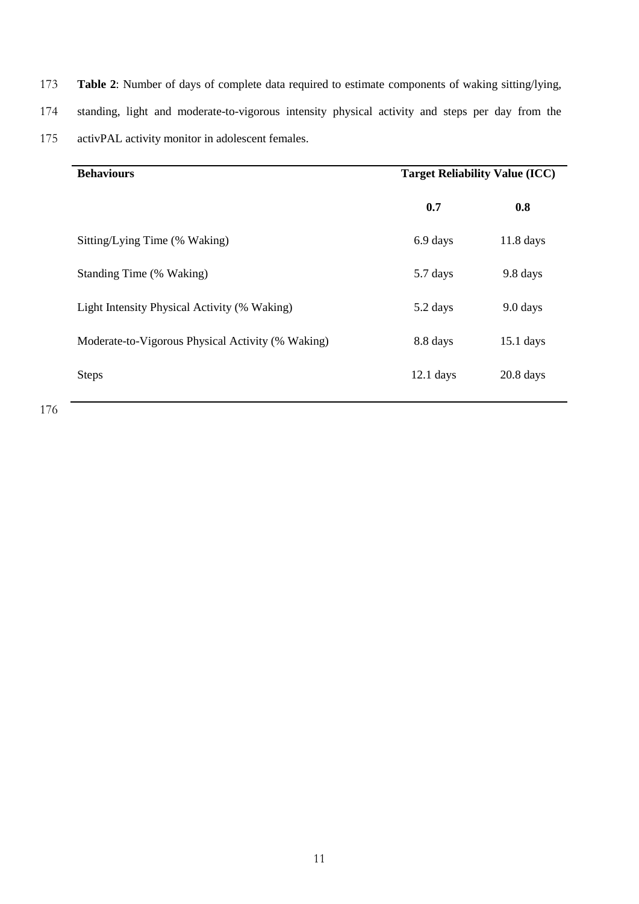173 **Table 2**: Number of days of complete data required to estimate components of waking sitting/lying, 174 standing, light and moderate-to-vigorous intensity physical activity and steps per day from the 175 activPAL activity monitor in adolescent females.

| <b>Behaviours</b>                                 | <b>Target Reliability Value (ICC)</b> |             |  |
|---------------------------------------------------|---------------------------------------|-------------|--|
|                                                   | 0.7                                   | 0.8         |  |
| Sitting/Lying Time (% Waking)                     | 6.9 days                              | $11.8$ days |  |
| Standing Time (% Waking)                          | 5.7 days                              | 9.8 days    |  |
| Light Intensity Physical Activity (% Waking)      | 5.2 days                              | 9.0 days    |  |
| Moderate-to-Vigorous Physical Activity (% Waking) | 8.8 days                              | $15.1$ days |  |
| <b>Steps</b>                                      | $12.1$ days                           | $20.8$ days |  |
|                                                   |                                       |             |  |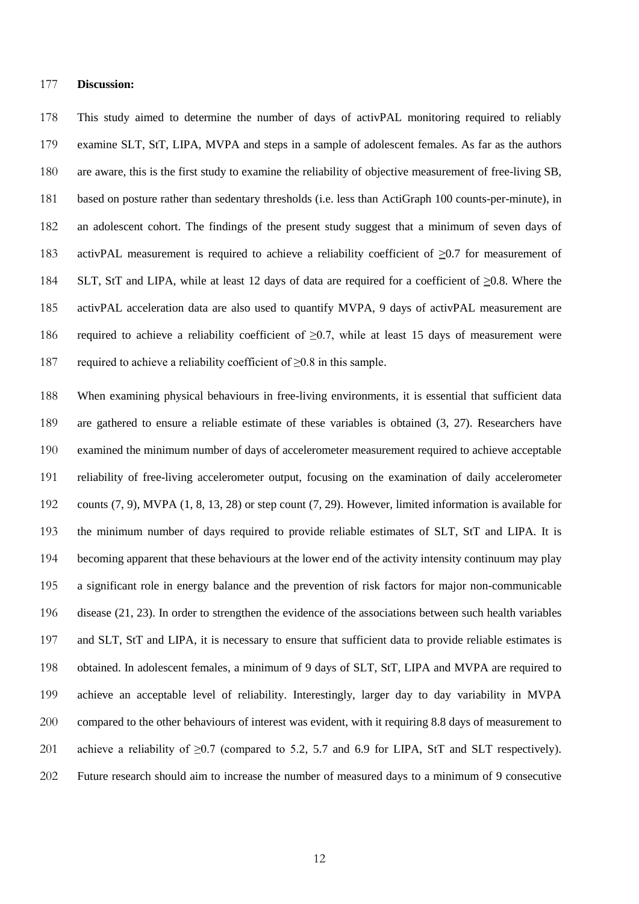#### **Discussion:**

 This study aimed to determine the number of days of activPAL monitoring required to reliably examine SLT, StT, LIPA, MVPA and steps in a sample of adolescent females. As far as the authors are aware, this is the first study to examine the reliability of objective measurement of free-living SB, based on posture rather than sedentary thresholds (i.e. less than ActiGraph 100 counts-per-minute), in an adolescent cohort. The findings of the present study suggest that a minimum of seven days of activPAL measurement is required to achieve a reliability coefficient of ≥0.7 for measurement of SLT, StT and LIPA, while at least 12 days of data are required for a coefficient of ≥0.8. Where the activPAL acceleration data are also used to quantify MVPA, 9 days of activPAL measurement are required to achieve a reliability coefficient of ≥0.7, while at least 15 days of measurement were required to achieve a reliability coefficient of ≥0.8 in this sample.

 When examining physical behaviours in free-living environments, it is essential that sufficient data are gathered to ensure a reliable estimate of these variables is obtained [\(3,](#page-16-0) [27\)](#page-18-5). Researchers have examined the minimum number of days of accelerometer measurement required to achieve acceptable reliability of free-living accelerometer output, focusing on the examination of daily accelerometer counts [\(7,](#page-16-7) [9\)](#page-16-2), MVPA [\(1,](#page-16-1) [8,](#page-16-3) [13,](#page-17-3) [28\)](#page-18-2) or step count [\(7,](#page-16-7) [29\)](#page-18-6). However, limited information is available for the minimum number of days required to provide reliable estimates of SLT, StT and LIPA. It is becoming apparent that these behaviours at the lower end of the activity intensity continuum may play a significant role in energy balance and the prevention of risk factors for major non-communicable disease [\(21,](#page-18-9) [23\)](#page-18-0). In order to strengthen the evidence of the associations between such health variables and SLT, StT and LIPA, it is necessary to ensure that sufficient data to provide reliable estimates is obtained. In adolescent females, a minimum of 9 days of SLT, StT, LIPA and MVPA are required to achieve an acceptable level of reliability. Interestingly, larger day to day variability in MVPA compared to the other behaviours of interest was evident, with it requiring 8.8 days of measurement to 201 achieve a reliability of  $\geq$  0.7 (compared to 5.2, 5.7 and 6.9 for LIPA, StT and SLT respectively). Future research should aim to increase the number of measured days to a minimum of 9 consecutive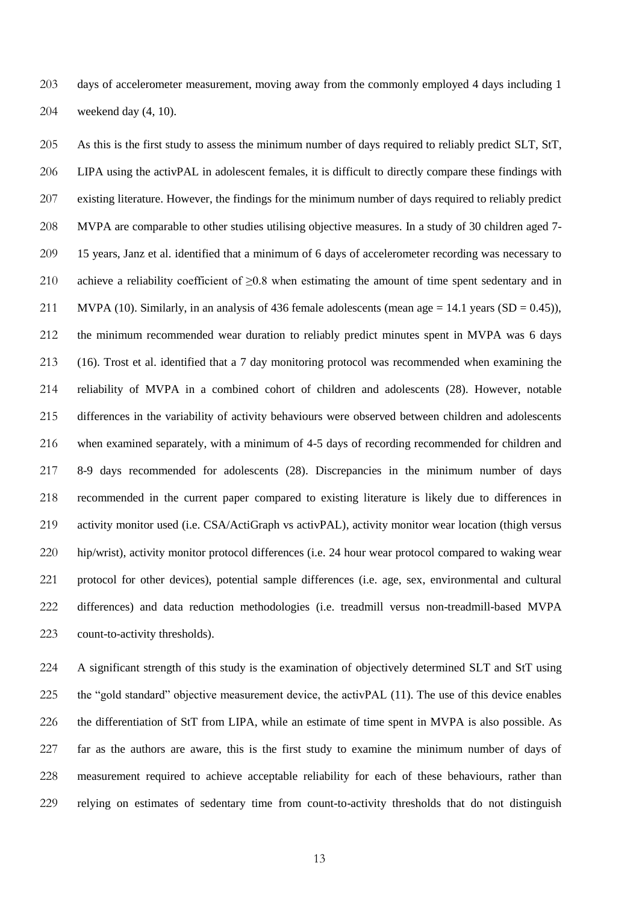days of accelerometer measurement, moving away from the commonly employed 4 days including 1 weekend day [\(4,](#page-16-8) [10\)](#page-17-8).

 As this is the first study to assess the minimum number of days required to reliably predict SLT, StT, LIPA using the activPAL in adolescent females, it is difficult to directly compare these findings with existing literature. However, the findings for the minimum number of days required to reliably predict MVPA are comparable to other studies utilising objective measures. In a study of 30 children aged 7- 15 years, Janz et al. identified that a minimum of 6 days of accelerometer recording was necessary to 210 achieve a reliability coefficient of  $\geq 0.8$  when estimating the amount of time spent sedentary and in 211 MVPA [\(10\)](#page-17-8). Similarly, in an analysis of 436 female adolescents (mean age  $= 14.1$  years (SD  $= 0.45$ )), the minimum recommended wear duration to reliably predict minutes spent in MVPA was 6 days [\(16\)](#page-17-9). Trost et al. identified that a 7 day monitoring protocol was recommended when examining the reliability of MVPA in a combined cohort of children and adolescents [\(28\)](#page-18-2). However, notable differences in the variability of activity behaviours were observed between children and adolescents when examined separately, with a minimum of 4-5 days of recording recommended for children and 8-9 days recommended for adolescents [\(28\)](#page-18-2). Discrepancies in the minimum number of days recommended in the current paper compared to existing literature is likely due to differences in activity monitor used (i.e. CSA/ActiGraph vs activPAL), activity monitor wear location (thigh versus hip/wrist), activity monitor protocol differences (i.e. 24 hour wear protocol compared to waking wear protocol for other devices), potential sample differences (i.e. age, sex, environmental and cultural differences) and data reduction methodologies (i.e. treadmill versus non-treadmill-based MVPA count-to-activity thresholds).

 A significant strength of this study is the examination of objectively determined SLT and StT using the "gold standard" objective measurement device, the activPAL [\(11\)](#page-17-4). The use of this device enables the differentiation of StT from LIPA, while an estimate of time spent in MVPA is also possible. As far as the authors are aware, this is the first study to examine the minimum number of days of measurement required to achieve acceptable reliability for each of these behaviours, rather than relying on estimates of sedentary time from count-to-activity thresholds that do not distinguish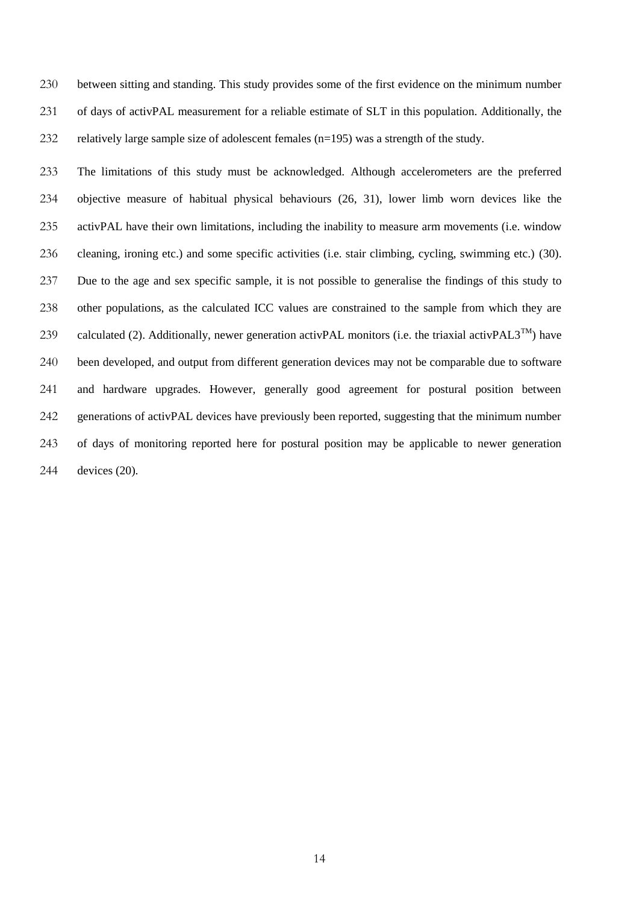between sitting and standing. This study provides some of the first evidence on the minimum number of days of activPAL measurement for a reliable estimate of SLT in this population. Additionally, the relatively large sample size of adolescent females (n=195) was a strength of the study.

 The limitations of this study must be acknowledged. Although accelerometers are the preferred objective measure of habitual physical behaviours [\(26,](#page-18-3) [31\)](#page-19-0), lower limb worn devices like the activPAL have their own limitations, including the inability to measure arm movements (i.e. window cleaning, ironing etc.) and some specific activities (i.e. stair climbing, cycling, swimming etc.) [\(30\)](#page-18-4). Due to the age and sex specific sample, it is not possible to generalise the findings of this study to other populations, as the calculated ICC values are constrained to the sample from which they are 239 calculated [\(2\)](#page-16-6). Additionally, newer generation activPAL monitors (i.e. the triaxial activPAL3<sup>TM</sup>) have been developed, and output from different generation devices may not be comparable due to software and hardware upgrades. However, generally good agreement for postural position between generations of activPAL devices have previously been reported, suggesting that the minimum number of days of monitoring reported here for postural position may be applicable to newer generation devices [\(20\)](#page-18-10).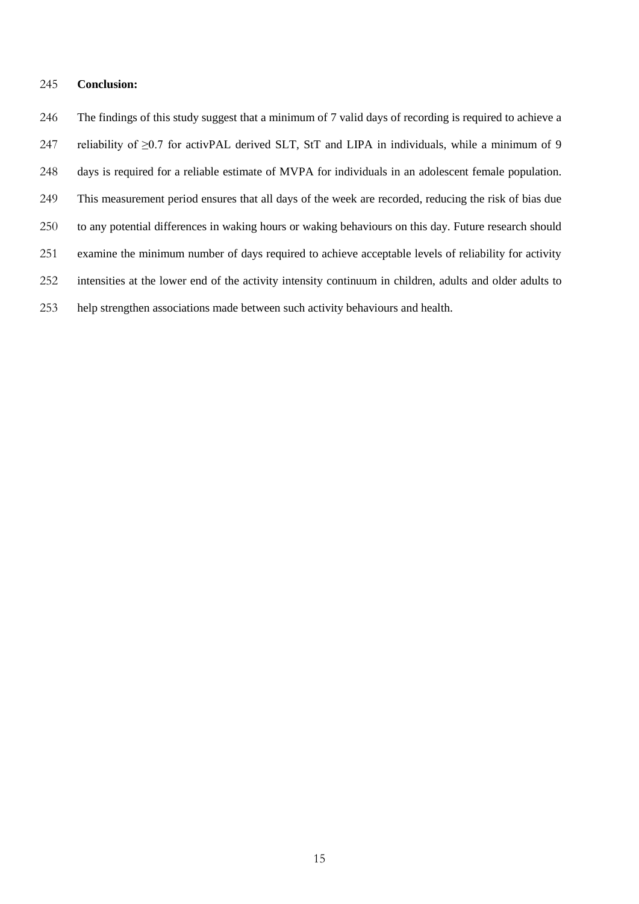# **Conclusion:**

 The findings of this study suggest that a minimum of 7 valid days of recording is required to achieve a 247 reliability of  $\geq$ 0.7 for activPAL derived SLT, StT and LIPA in individuals, while a minimum of 9 days is required for a reliable estimate of MVPA for individuals in an adolescent female population. This measurement period ensures that all days of the week are recorded, reducing the risk of bias due to any potential differences in waking hours or waking behaviours on this day. Future research should examine the minimum number of days required to achieve acceptable levels of reliability for activity intensities at the lower end of the activity intensity continuum in children, adults and older adults to help strengthen associations made between such activity behaviours and health.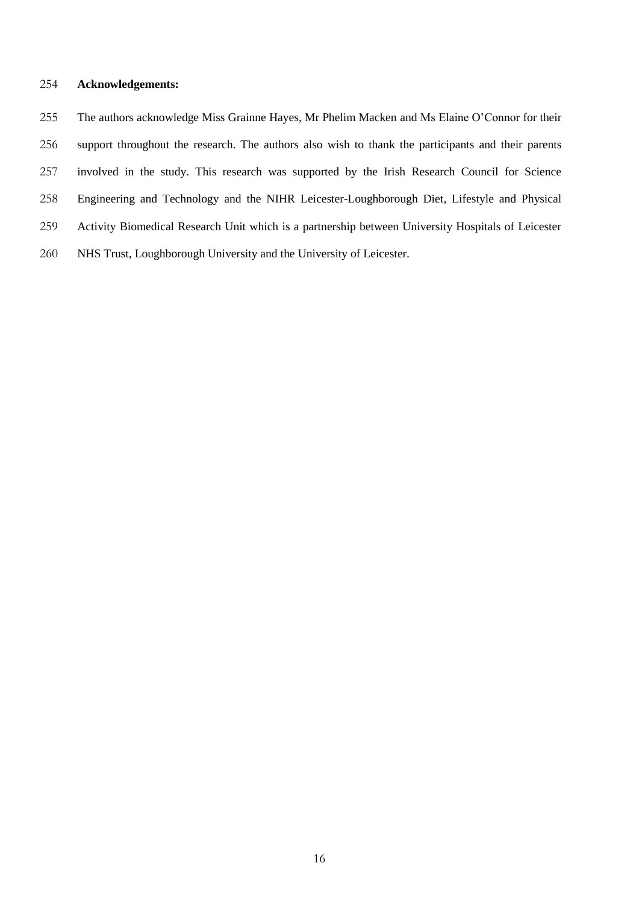## **Acknowledgements:**

 The authors acknowledge Miss Grainne Hayes, Mr Phelim Macken and Ms Elaine O'Connor for their support throughout the research. The authors also wish to thank the participants and their parents involved in the study. This research was supported by the Irish Research Council for Science Engineering and Technology and the NIHR Leicester-Loughborough Diet, Lifestyle and Physical Activity Biomedical Research Unit which is a partnership between University Hospitals of Leicester NHS Trust, Loughborough University and the University of Leicester.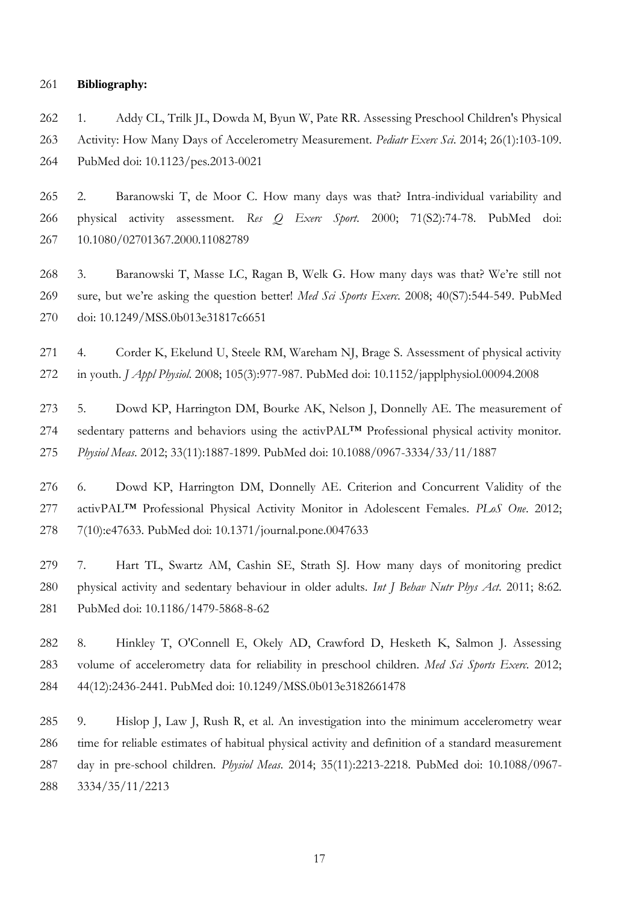#### **Bibliography:**

<span id="page-16-1"></span> 1. Addy CL, Trilk JL, Dowda M, Byun W, Pate RR. Assessing Preschool Children's Physical Activity: How Many Days of Accelerometry Measurement. *Pediatr Exerc Sci*. 2014; 26(1):103-109. PubMed doi: 10.1123/pes.2013-0021

<span id="page-16-6"></span> 2. Baranowski T, de Moor C. How many days was that? Intra-individual variability and physical activity assessment. *Res Q Exerc Sport*. 2000; 71(S2):74-78. PubMed doi: 10.1080/02701367.2000.11082789

<span id="page-16-0"></span> 3. Baranowski T, Masse LC, Ragan B, Welk G. How many days was that? We're still not sure, but we're asking the question better! *Med Sci Sports Exerc*. 2008; 40(S7):544-549. PubMed doi: 10.1249/MSS.0b013e31817c6651

<span id="page-16-8"></span>271 4. Corder K, Ekelund U, Steele RM, Wareham NJ, Brage S. Assessment of physical activity in youth. *J Appl Physiol*. 2008; 105(3):977-987. PubMed doi: 10.1152/japplphysiol.00094.2008

<span id="page-16-5"></span> 5. Dowd KP, Harrington DM, Bourke AK, Nelson J, Donnelly AE. The measurement of 274 sedentary patterns and behaviors using the activPAL<sup>TM</sup> Professional physical activity monitor. *Physiol Meas*. 2012; 33(11):1887-1899. PubMed doi: 10.1088/0967-3334/33/11/1887

<span id="page-16-4"></span> 6. Dowd KP, Harrington DM, Donnelly AE. Criterion and Concurrent Validity of the activPAL™ Professional Physical Activity Monitor in Adolescent Females. *PLoS One*. 2012; 7(10):e47633. PubMed doi: 10.1371/journal.pone.0047633

<span id="page-16-7"></span> 7. Hart TL, Swartz AM, Cashin SE, Strath SJ. How many days of monitoring predict physical activity and sedentary behaviour in older adults. *Int J Behav Nutr Phys Act*. 2011; 8:62. PubMed doi: 10.1186/1479-5868-8-62

<span id="page-16-3"></span> 8. Hinkley T, O'Connell E, Okely AD, Crawford D, Hesketh K, Salmon J. Assessing volume of accelerometry data for reliability in preschool children. *Med Sci Sports Exerc*. 2012; 44(12):2436-2441. PubMed doi: 10.1249/MSS.0b013e3182661478

<span id="page-16-2"></span> 9. Hislop J, Law J, Rush R, et al. An investigation into the minimum accelerometry wear time for reliable estimates of habitual physical activity and definition of a standard measurement day in pre-school children. *Physiol Meas*. 2014; 35(11):2213-2218. PubMed doi: 10.1088/0967- 3334/35/11/2213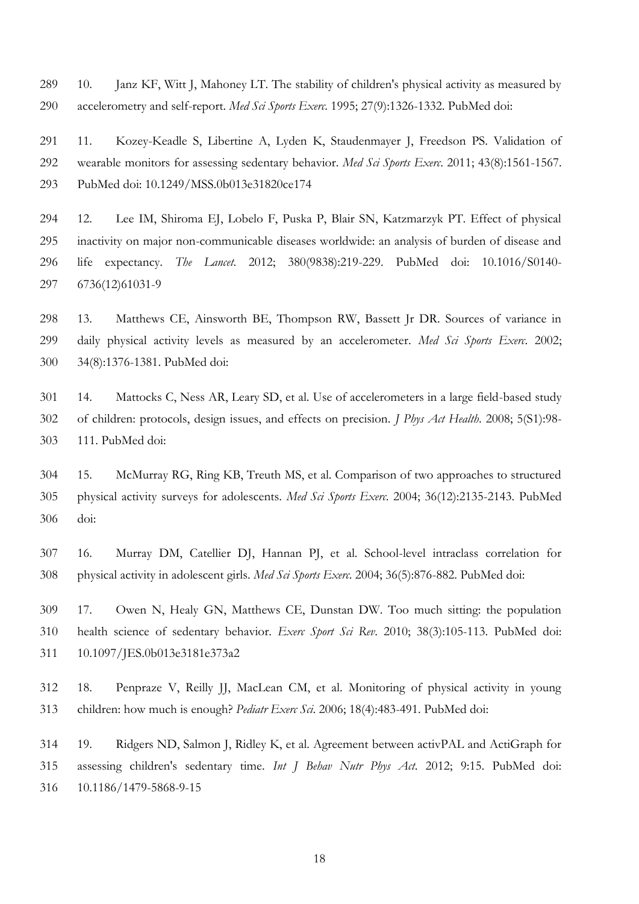<span id="page-17-8"></span> 10. Janz KF, Witt J, Mahoney LT. The stability of children's physical activity as measured by accelerometry and self-report. *Med Sci Sports Exerc*. 1995; 27(9):1326-1332. PubMed doi:

<span id="page-17-4"></span> 11. Kozey-Keadle S, Libertine A, Lyden K, Staudenmayer J, Freedson PS. Validation of wearable monitors for assessing sedentary behavior. *Med Sci Sports Exerc*. 2011; 43(8):1561-1567. PubMed doi: 10.1249/MSS.0b013e31820ce174

<span id="page-17-0"></span> 12. Lee IM, Shiroma EJ, Lobelo F, Puska P, Blair SN, Katzmarzyk PT. Effect of physical inactivity on major non-communicable diseases worldwide: an analysis of burden of disease and life expectancy. *The Lancet*. 2012; 380(9838):219-229. PubMed doi: 10.1016/S0140- 6736(12)61031-9

<span id="page-17-3"></span> 13. Matthews CE, Ainsworth BE, Thompson RW, Bassett Jr DR. Sources of variance in daily physical activity levels as measured by an accelerometer. *Med Sci Sports Exerc*. 2002; 34(8):1376-1381. PubMed doi:

<span id="page-17-7"></span> 14. Mattocks C, Ness AR, Leary SD, et al. Use of accelerometers in a large field-based study of children: protocols, design issues, and effects on precision. *J Phys Act Health*. 2008; 5(S1):98- 111. PubMed doi:

<span id="page-17-1"></span> 15. McMurray RG, Ring KB, Treuth MS, et al. Comparison of two approaches to structured physical activity surveys for adolescents. *Med Sci Sports Exerc*. 2004; 36(12):2135-2143. PubMed doi:

<span id="page-17-9"></span> 16. Murray DM, Catellier DJ, Hannan PJ, et al. School-level intraclass correlation for physical activity in adolescent girls. *Med Sci Sports Exerc*. 2004; 36(5):876-882. PubMed doi:

<span id="page-17-5"></span> 17. Owen N, Healy GN, Matthews CE, Dunstan DW. Too much sitting: the population health science of sedentary behavior. *Exerc Sport Sci Rev*. 2010; 38(3):105-113. PubMed doi: 10.1097/JES.0b013e3181e373a2

<span id="page-17-2"></span> 18. Penpraze V, Reilly JJ, MacLean CM, et al. Monitoring of physical activity in young children: how much is enough? *Pediatr Exerc Sci*. 2006; 18(4):483-491. PubMed doi:

<span id="page-17-6"></span> 19. Ridgers ND, Salmon J, Ridley K, et al. Agreement between activPAL and ActiGraph for assessing children's sedentary time. *Int J Behav Nutr Phys Act*. 2012; 9:15. PubMed doi: 10.1186/1479-5868-9-15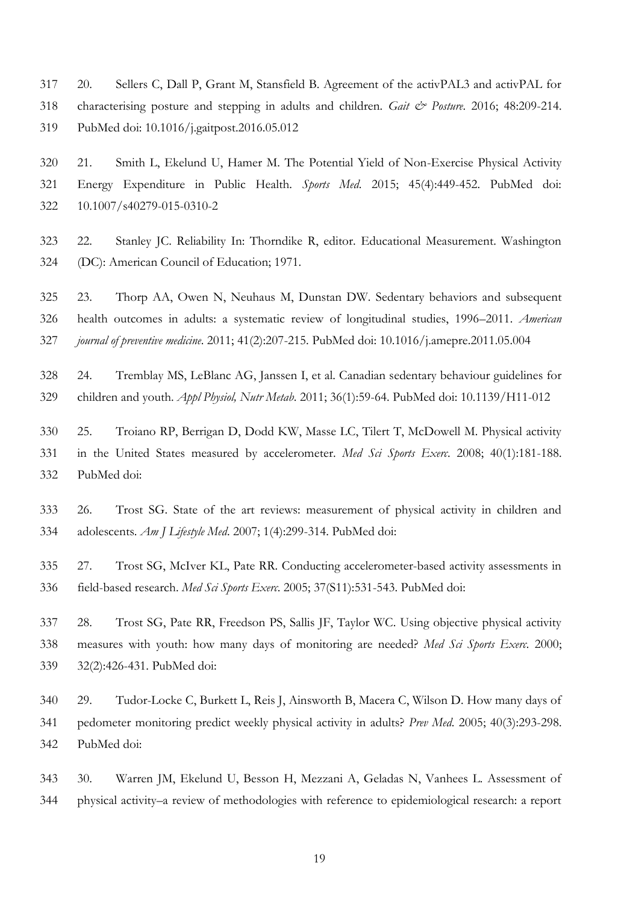<span id="page-18-10"></span> 20. Sellers C, Dall P, Grant M, Stansfield B. Agreement of the activPAL3 and activPAL for characterising posture and stepping in adults and children. *Gait & Posture*. 2016; 48:209-214. PubMed doi: 10.1016/j.gaitpost.2016.05.012

<span id="page-18-9"></span> 21. Smith L, Ekelund U, Hamer M. The Potential Yield of Non-Exercise Physical Activity Energy Expenditure in Public Health. *Sports Med*. 2015; 45(4):449-452. PubMed doi: 10.1007/s40279-015-0310-2

<span id="page-18-8"></span> 22. Stanley JC. Reliability In: Thorndike R, editor. Educational Measurement. Washington (DC): American Council of Education; 1971.

<span id="page-18-0"></span> 23. Thorp AA, Owen N, Neuhaus M, Dunstan DW. Sedentary behaviors and subsequent health outcomes in adults: a systematic review of longitudinal studies, 1996–2011. *American journal of preventive medicine*. 2011; 41(2):207-215. PubMed doi: 10.1016/j.amepre.2011.05.004

<span id="page-18-1"></span> 24. Tremblay MS, LeBlanc AG, Janssen I, et al. Canadian sedentary behaviour guidelines for children and youth. *Appl Physiol, Nutr Metab*. 2011; 36(1):59-64. PubMed doi: 10.1139/H11-012

<span id="page-18-7"></span> 25. Troiano RP, Berrigan D, Dodd KW, Masse LC, Tilert T, McDowell M. Physical activity in the United States measured by accelerometer. *Med Sci Sports Exerc*. 2008; 40(1):181-188. PubMed doi:

<span id="page-18-3"></span> 26. Trost SG. State of the art reviews: measurement of physical activity in children and adolescents. *Am J Lifestyle Med*. 2007; 1(4):299-314. PubMed doi:

<span id="page-18-5"></span> 27. Trost SG, McIver KL, Pate RR. Conducting accelerometer-based activity assessments in field-based research. *Med Sci Sports Exerc*. 2005; 37(S11):531-543. PubMed doi:

<span id="page-18-2"></span> 28. Trost SG, Pate RR, Freedson PS, Sallis JF, Taylor WC. Using objective physical activity measures with youth: how many days of monitoring are needed? *Med Sci Sports Exerc*. 2000; 32(2):426-431. PubMed doi:

<span id="page-18-6"></span> 29. Tudor-Locke C, Burkett L, Reis J, Ainsworth B, Macera C, Wilson D. How many days of pedometer monitoring predict weekly physical activity in adults? *Prev Med*. 2005; 40(3):293-298. PubMed doi:

<span id="page-18-4"></span> 30. Warren JM, Ekelund U, Besson H, Mezzani A, Geladas N, Vanhees L. Assessment of physical activity–a review of methodologies with reference to epidemiological research: a report